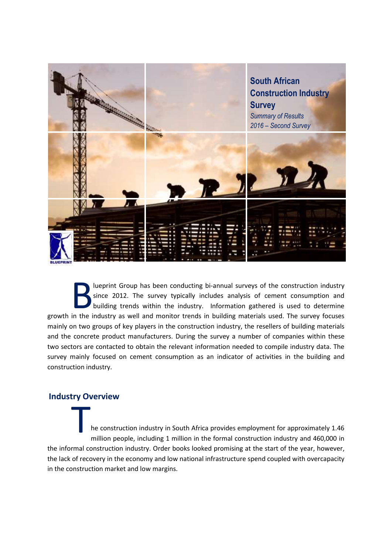

lueprint Group has been conducting bi-annual surveys of the construction industry since 2012. The survey typically includes analysis of cement consumption and building trends within the industry. Information gathered is used to determine Iueprint Group has been conducting bi-annual surveys of the construction industry<br>since 2012. The survey typically includes analysis of cement consumption and<br>building trends within the industry. Information gathered is us mainly on two groups of key players in the construction industry, the resellers of building materials and the concrete product manufacturers. During the survey a number of companies within these two sectors are contacted to obtain the relevant information needed to compile industry data. The survey mainly focused on cement consumption as an indicator of activities in the building and construction industry.

### **Industry Overview**

he construction industry in South Africa provides employment for approximately 1.46 million people, including 1 million in the formal construction industry and 460,000 in the informal construction industry. Order books looked promising at the start of the year, however, the lack of recovery in the economy and low national infrastructure spend coupled with overcapacity in the construction market and low margins. T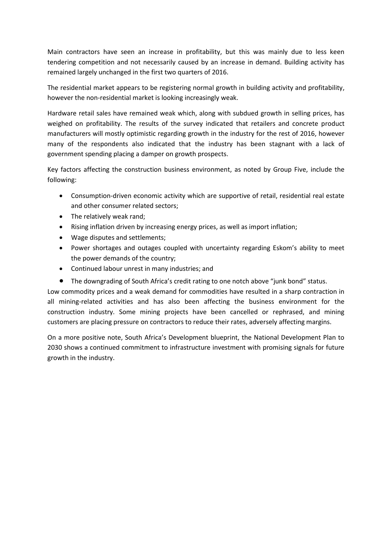Main contractors have seen an increase in profitability, but this was mainly due to less keen tendering competition and not necessarily caused by an increase in demand. Building activity has remained largely unchanged in the first two quarters of 2016.

The residential market appears to be registering normal growth in building activity and profitability, however the non-residential market is looking increasingly weak.

Hardware retail sales have remained weak which, along with subdued growth in selling prices, has weighed on profitability. The results of the survey indicated that retailers and concrete product manufacturers will mostly optimistic regarding growth in the industry for the rest of 2016, however many of the respondents also indicated that the industry has been stagnant with a lack of government spending placing a damper on growth prospects.

Key factors affecting the construction business environment, as noted by Group Five, include the following:

- Consumption-driven economic activity which are supportive of retail, residential real estate and other consumer related sectors;
- The relatively weak rand:
- Rising inflation driven by increasing energy prices, as well as import inflation;
- Wage disputes and settlements;
- Power shortages and outages coupled with uncertainty regarding Eskom's ability to meet the power demands of the country;
- Continued labour unrest in many industries; and
- The downgrading of South Africa's credit rating to one notch above "junk bond" status.

Low commodity prices and a weak demand for commodities have resulted in a sharp contraction in all mining-related activities and has also been affecting the business environment for the construction industry. Some mining projects have been cancelled or rephrased, and mining customers are placing pressure on contractors to reduce their rates, adversely affecting margins.

On a more positive note, South Africa's Development blueprint, the National Development Plan to 2030 shows a continued commitment to infrastructure investment with promising signals for future growth in the industry.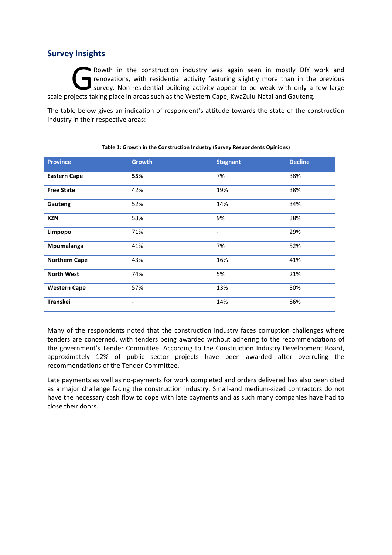# **Survey Insights**

Rowth in the construction industry was again seen in mostly DIY work and renovations, with residential activity featuring slightly more than in the previous survey. Non-residential building activity appear to be weak with only a few large Rowth in the construction industry was again seen in mostly DIY are removations, with residential activity featuring slightly more than in the survey. Non-residential building activity appear to be weak with only a scale p

The table below gives an indication of respondent's attitude towards the state of the construction industry in their respective areas:

| <b>Province</b>      | <b>Growth</b>                | <b>Stagnant</b>          | <b>Decline</b> |  |
|----------------------|------------------------------|--------------------------|----------------|--|
| <b>Eastern Cape</b>  | 55%                          | 7%                       | 38%            |  |
| <b>Free State</b>    | 42%                          | 19%                      | 38%            |  |
| Gauteng              | 52%                          | 14%                      | 34%            |  |
| <b>KZN</b>           | 53%                          | 9%                       | 38%            |  |
| Limpopo              | 71%                          | $\overline{\phantom{a}}$ | 29%            |  |
| Mpumalanga           | 41%                          | 7%                       | 52%            |  |
| <b>Northern Cape</b> | 43%                          | 16%                      | 41%            |  |
| <b>North West</b>    | 74%                          | 5%                       | 21%            |  |
| <b>Western Cape</b>  | 57%                          | 13%                      | 30%            |  |
| Transkei             | $\qquad \qquad \blacksquare$ | 14%                      | 86%            |  |

#### **Table 1: Growth in the Construction Industry (Survey Respondents Opinions)**

Many of the respondents noted that the construction industry faces corruption challenges where tenders are concerned, with tenders being awarded without adhering to the recommendations of the government's Tender Committee. According to the Construction Industry Development Board, approximately 12% of public sector projects have been awarded after overruling the recommendations of the Tender Committee.

Late payments as well as no-payments for work completed and orders delivered has also been cited as a major challenge facing the construction industry. Small-and medium-sized contractors do not have the necessary cash flow to cope with late payments and as such many companies have had to close their doors.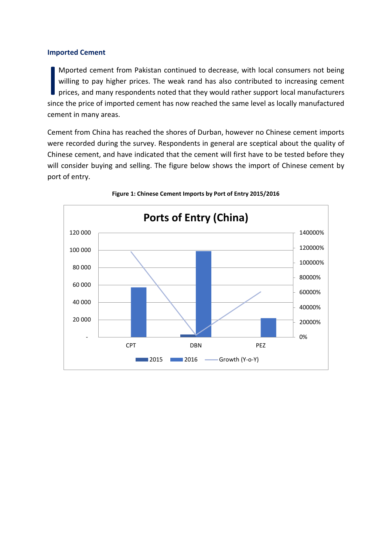### **Imported Cement**

Mported cement from Pakistan continued to decrease, with local consumers not being willing to pay higher prices. The weak rand has also contributed to increasing cement prices, and many respondents noted that they would rather support local manufacturers Mported cement from Pakistan continued to decrease, with local consumers not being<br>willing to pay higher prices. The weak rand has also contributed to increasing cement<br>prices, and many respondents noted that they would ra cement in many areas.

Cement from China has reached the shores of Durban, however no Chinese cement imports were recorded during the survey. Respondents in general are sceptical about the quality of Chinese cement, and have indicated that the cement will first have to be tested before they will consider buying and selling. The figure below shows the import of Chinese cement by port of entry.



### **Figure 1: Chinese Cement Imports by Port of Entry 2015/2016**